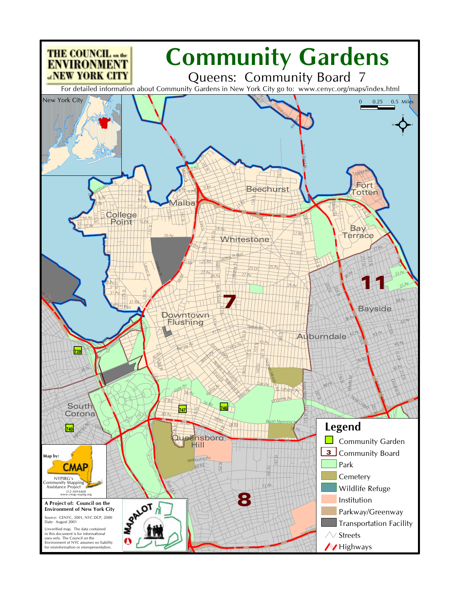